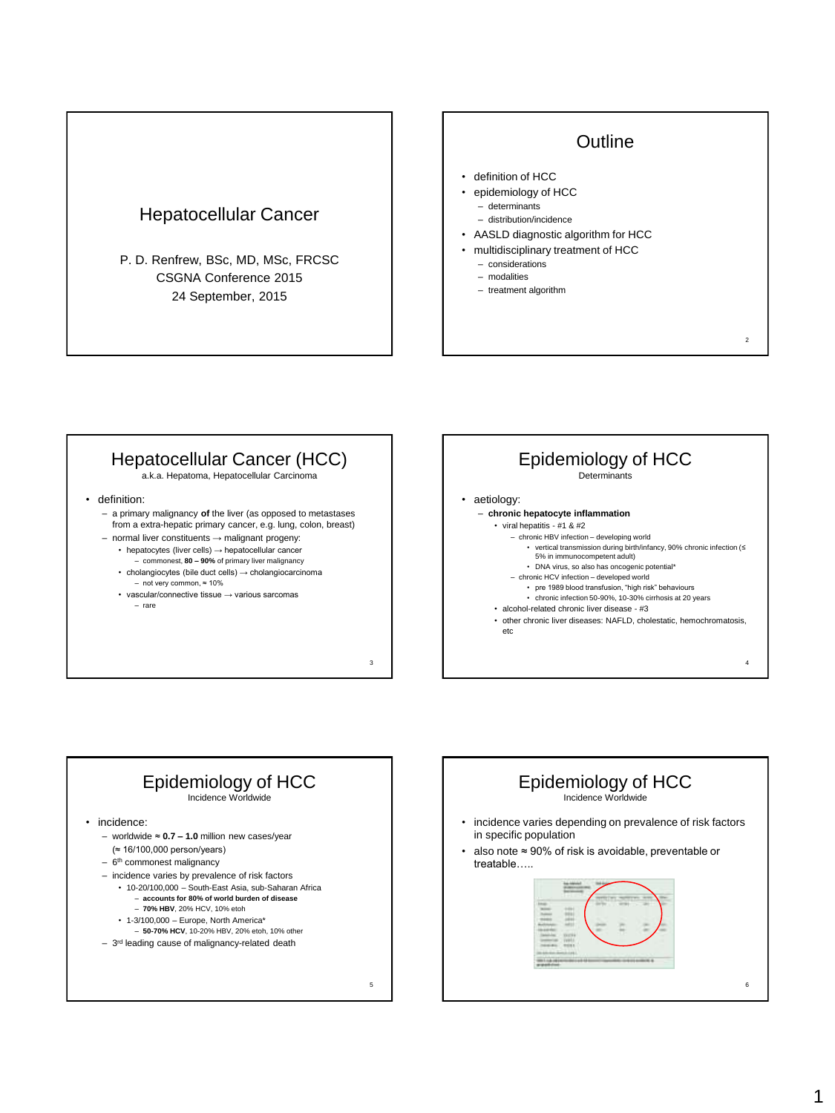### Hepatocellular Cancer

P. D. Renfrew, BSc, MD, MSc, FRCSC CSGNA Conference 2015 24 September, 2015

### **Outline**

2

- definition of HCC
- epidemiology of HCC
	- determinants
	- distribution/incidence
- AASLD diagnostic algorithm for HCC
- multidisciplinary treatment of HCC
	- considerations
	- modalities
	- treatment algorithm

### Hepatocellular Cancer (HCC)

a.k.a. Hepatoma, Hepatocellular Carcinoma

- definition:
	- a primary malignancy **of** the liver (as opposed to metastases from a extra-hepatic primary cancer, e.g. lung, colon, breast)
	- normal liver constituents → malignant progeny: • hepatocytes (liver cells) → hepatocellular cancer
		- commonest, **80 – 90%** of primary liver malignancy
		- cholangiocytes (bile duct cells) → cholangiocarcinoma – not very common, ≈ 10%

3

• vascular/connective tissue → various sarcomas – rare

### 4 Epidemiology of HCC Determinants • aetiology: – **chronic hepatocyte inflammation** • viral hepatitis - #1 & #2 – chronic HBV infection – developing world • vertical transmission during birth/infancy, 90% chronic infection (≤ 5% in immunocompetent adult) • DNA virus, so also has oncogenic potential\* – chronic HCV infection – developed world • pre 1989 blood transfusion, "high risk" behaviours • chronic infection 50-90%, 10-30% cirrhosis at 20 years • alcohol-related chronic liver disease - #3 • other chronic liver diseases: NAFLD, cholestatic, hemochromatosis, etc



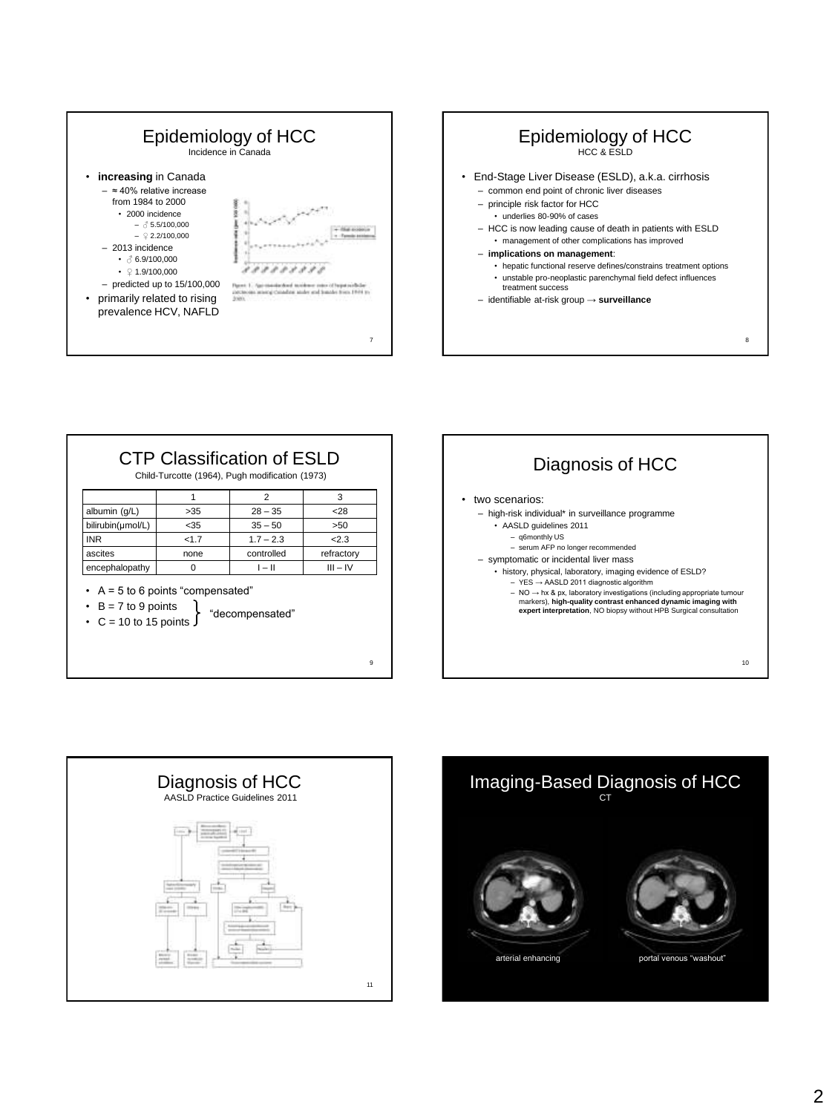







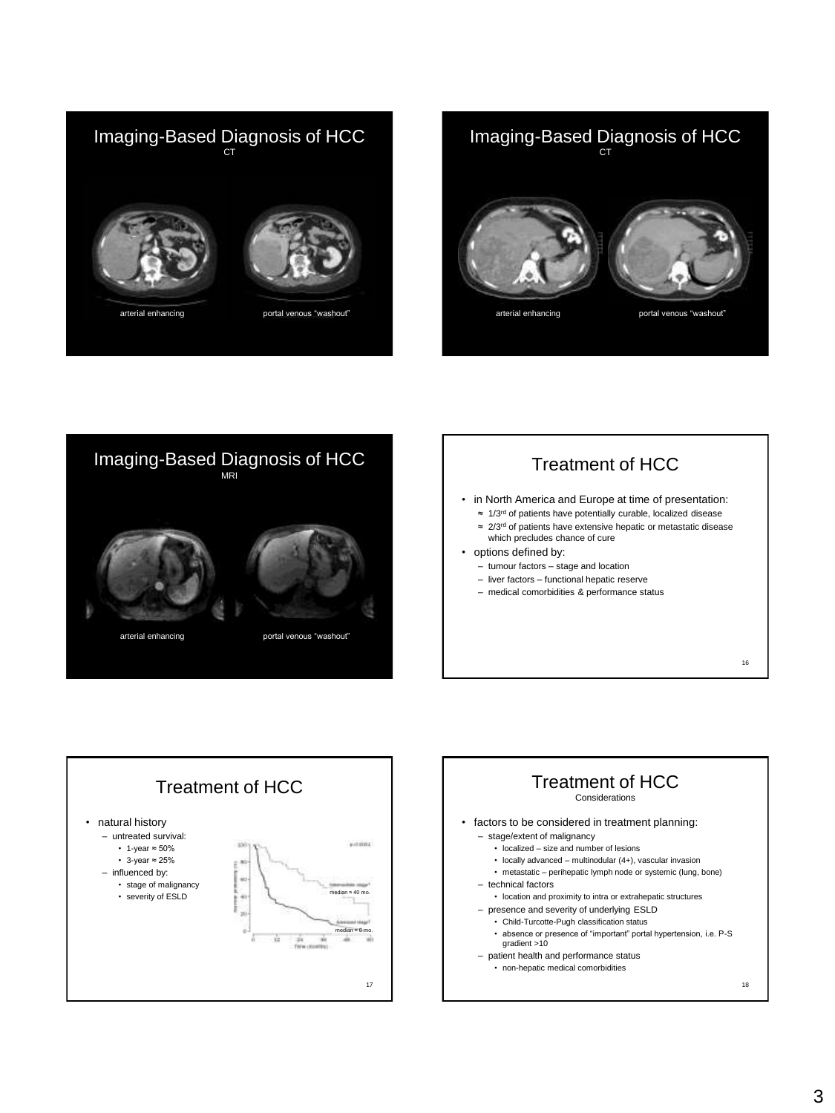









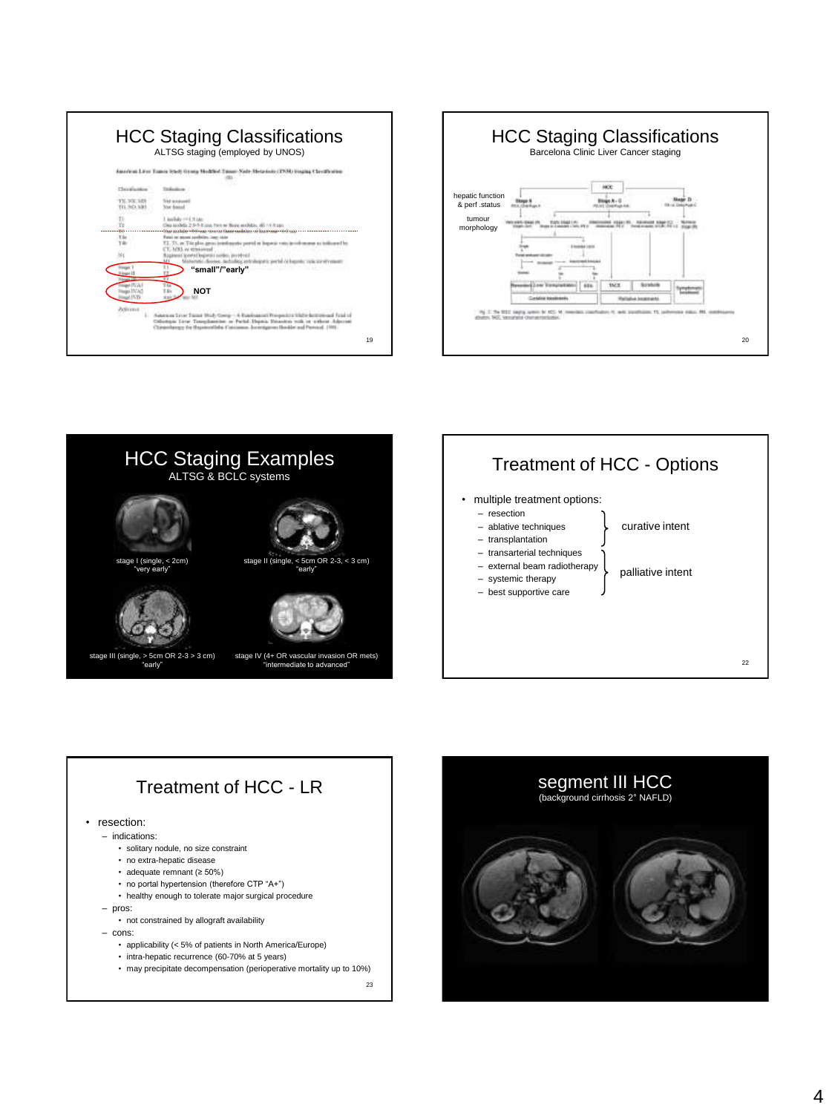|                             | American Lines Transa Study Green Modified Taxan: Nada-Heizstein (TNM) Stepling Classified the                                          |
|-----------------------------|-----------------------------------------------------------------------------------------------------------------------------------------|
| Chambiological              | Titulionico                                                                                                                             |
| YY. 300. 149<br>TL 767, 1df | <b><i><u>Net anaught</u></i></b><br><b>Mar francol</b>                                                                                  |
|                             | Lincolnia cond 10 Law<br>One toolets 2.5-5.1 can fire w Buic weblits, 40-4-7 can                                                        |
| TЫ                          | Fata) at ascent pubblics, last 1444<br>7.1. TX, at Tile plus genus interlegents period as logouis was involvement as indicates          |
|                             | CT. MXL at threatened<br>Ragmund Scowin (Inspective necker, provident)                                                                  |
|                             | chialing entralyments; portal cellsquate; velacitatives<br>"small"/"early"<br><b>Contract Contract Contract Contract</b><br><b>SELL</b> |
| a ITV Ju                    | <b>NOT</b>                                                                                                                              |





# Treatment of HCC - LR

#### • resection:

- indications:
	- solitary nodule, no size constraint
	- no extra-hepatic disease
	- adequate remnant (≥ 50%)
	- no portal hypertension (therefore CTP "A+")
	- healthy enough to tolerate major surgical procedure
- pros:

• not constrained by allograft availability

– cons:

- applicability (< 5% of patients in North America/Europe)
- intra-hepatic recurrence (60-70% at 5 years)
- may precipitate decompensation (perioperative mortality up to 10%)

23

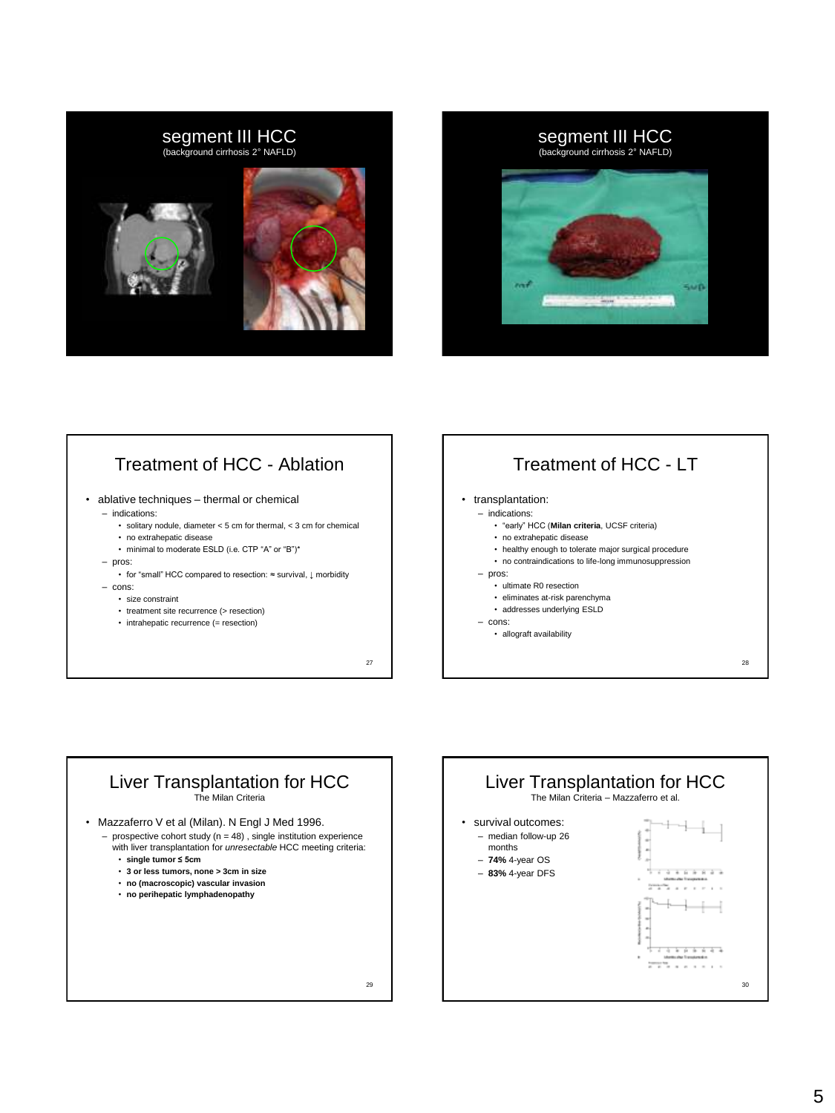



### Treatment of HCC - Ablation

- ablative techniques thermal or chemical
	- indications:
		- solitary nodule, diameter < 5 cm for thermal, < 3 cm for chemical
		- no extrahepatic disease
		- minimal to moderate ESLD (i.e. CTP "A" or "B")\*
	- pros:
		- for "small" HCC compared to resection: ≈ survival, ↓ morbidity
	- cons:
		- size constraint
		- treatment site recurrence (> resection)
		- intrahepatic recurrence (= resection)

27

## Treatment of HCC - LT

#### • transplantation:

- indications:
	- "early" HCC (**Milan criteria**, UCSF criteria)
	- no extrahepatic disease
	- healthy enough to tolerate major surgical procedure
	- no contraindications to life-long immunosuppression
- pros:
	- ultimate R0 resection
	- eliminates at-risk parenchyma
	- addresses underlying ESLD • allograft availability
- cons:

28



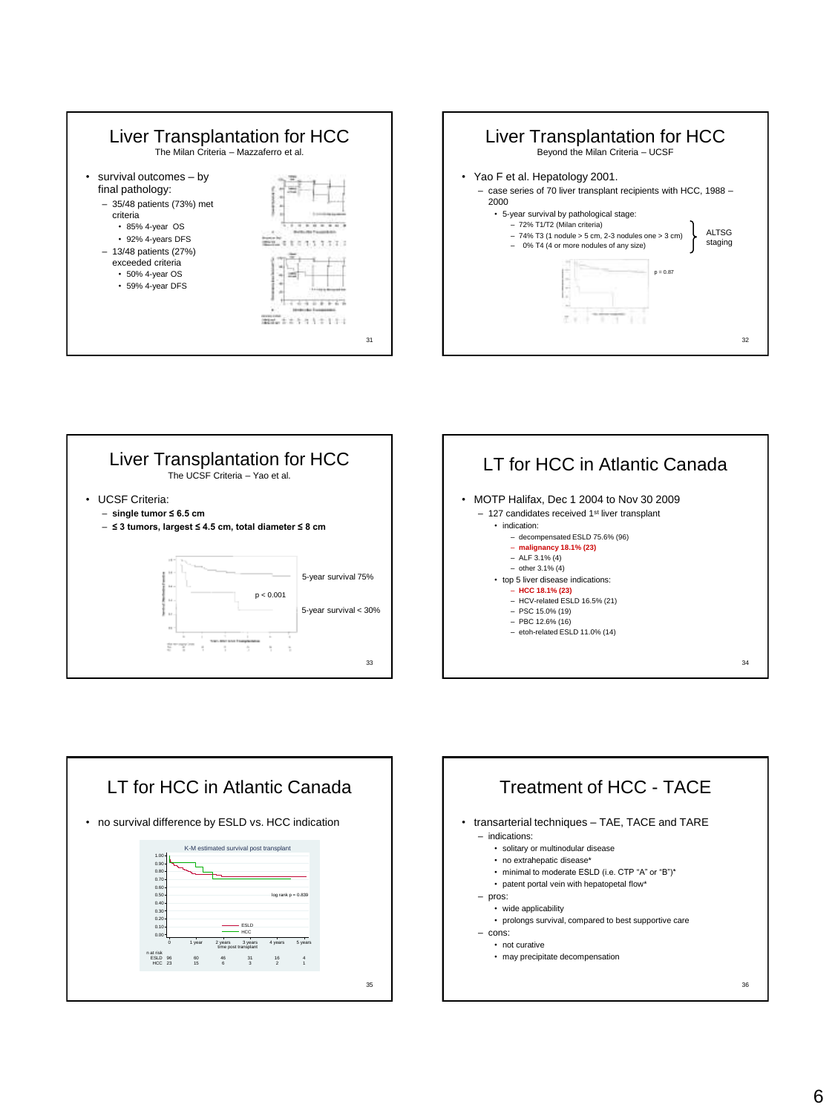









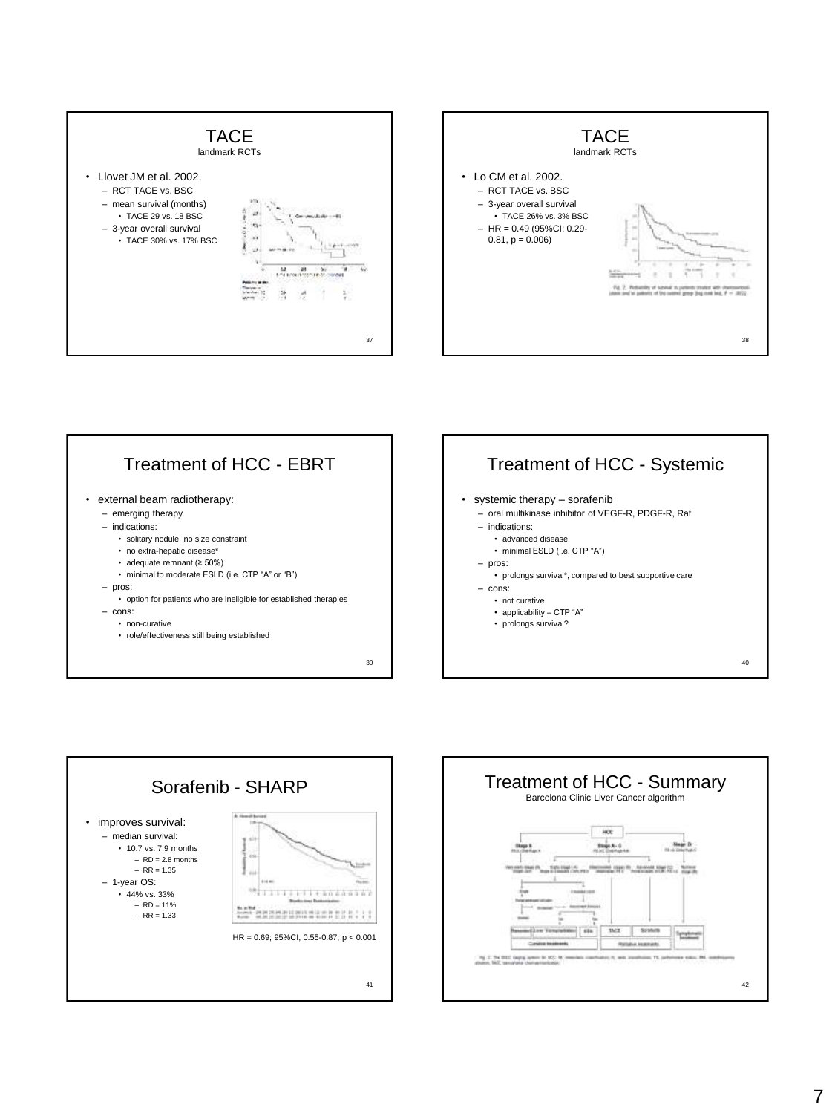